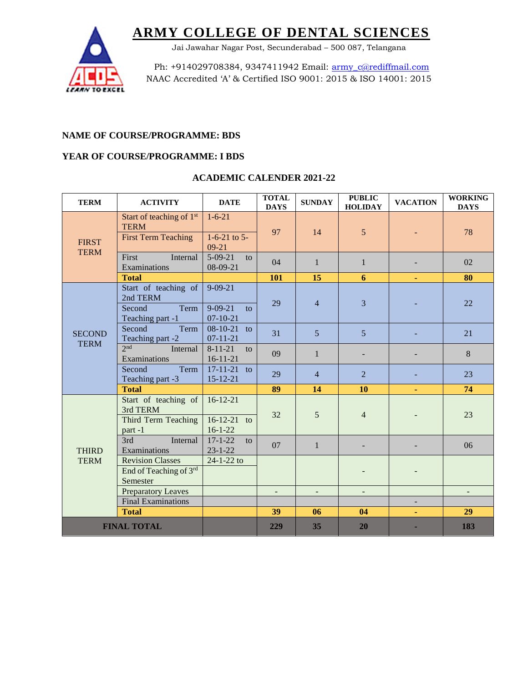

Jai Jawahar Nagar Post, Secunderabad – 500 087, Telangana

Ph: +914029708384, 9347411942 Email: [army\\_c@rediffmail.com](mailto:army_c@rediffmail.com) NAAC Accredited 'A' & Certified ISO 9001: 2015 & ISO 14001: 2015

### **NAME OF COURSE/PROGRAMME: BDS**

#### **YEAR OF COURSE/PROGRAMME: I BDS**

| <b>TERM</b>                  | <b>ACTIVITY</b>                                                                   | <b>DATE</b>                                        | <b>TOTAL</b><br><b>DAYS</b> | <b>SUNDAY</b>     | <b>PUBLIC</b><br><b>HOLIDAY</b> | <b>VACATION</b> | <b>WORKING</b><br><b>DAYS</b> |
|------------------------------|-----------------------------------------------------------------------------------|----------------------------------------------------|-----------------------------|-------------------|---------------------------------|-----------------|-------------------------------|
| <b>FIRST</b><br><b>TERM</b>  | Start of teaching of 1 <sup>st</sup><br><b>TERM</b><br><b>First Term Teaching</b> | $1 - 6 - 21$<br>$1-6-21$ to 5-<br>$09-21$          | 97                          | 14                | 5                               |                 | 78                            |
|                              | First<br>Internal<br>Examinations                                                 | $5-09-21$<br>to<br>08-09-21                        | 04                          | $\mathbf{1}$      | 1                               |                 | 02                            |
|                              | <b>Total</b>                                                                      |                                                    | 101                         | 15                | 6                               |                 | 80                            |
| <b>SECOND</b><br><b>TERM</b> | Start of teaching of<br>2nd TERM<br>Second<br>Term<br>Teaching part -1            | $9 - 09 - 21$<br>$9 - 09 - 21$<br>to<br>$07-10-21$ | 29                          | $\overline{4}$    | 3                               |                 | 22                            |
|                              | Term<br>Second<br>Teaching part -2                                                | $08-10-21$<br>to<br>$07 - 11 - 21$                 | 31                          | 5                 | 5                               |                 | 21                            |
|                              | 2nd<br>Internal<br>Examinations                                                   | $8 - 11 - 21$<br>to<br>$16 - 11 - 21$              | 09                          | $\mathbf{1}$      |                                 |                 | 8                             |
|                              | Term<br>Second<br>Teaching part -3                                                | $17-11-21$ to<br>$15 - 12 - 21$                    | 29                          | $\overline{4}$    | $\overline{2}$                  |                 | 23                            |
|                              | <b>Total</b>                                                                      |                                                    | 89                          | 14                | 10                              | ٠               | 74                            |
| <b>THIRD</b><br><b>TERM</b>  | Start of teaching of<br>3rd TERM<br>Third Term Teaching<br>part-1                 | $16-12-21$<br>$16-12-21$ to<br>$16 - 1 - 22$       | 32                          | 5                 | $\overline{4}$                  |                 | 23                            |
|                              | 3rd<br>Internal<br>Examinations                                                   | $17 - 1 - 22$<br>to<br>$23 - 1 - 22$               | 07                          | $\mathbf{1}$      |                                 |                 | 06                            |
|                              | <b>Revision Classes</b><br>End of Teaching of 3rd<br>Semester                     | $24 - 1 - 22$ to                                   |                             |                   |                                 |                 |                               |
|                              | <b>Preparatory Leaves</b>                                                         |                                                    | $\qquad \qquad -$           | $\qquad \qquad -$ | $\qquad \qquad \blacksquare$    |                 |                               |
|                              | <b>Final Examinations</b>                                                         |                                                    |                             |                   |                                 |                 |                               |
|                              | <b>Total</b>                                                                      |                                                    | 39                          | 06                | 04                              |                 | 29                            |
| <b>FINAL TOTAL</b>           |                                                                                   |                                                    | 229                         | 35                | 20                              |                 | 183                           |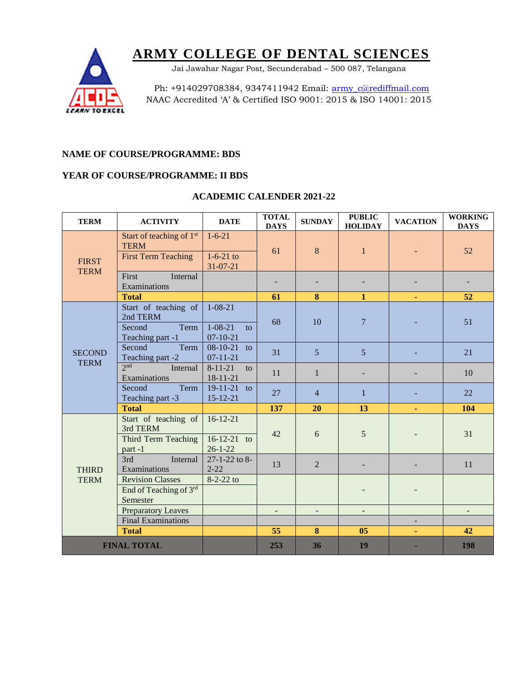Jai Jawahar Nagar Post, Secunderabad – 500 087, Telangana



Ph: +914029708384, 9347411942 Email: [army\\_c@rediffmail.com](mailto:army_c@rediffmail.com) NAAC Accredited 'A' & Certified ISO 9001: 2015 & ISO 14001: 2015

### **NAME OF COURSE/PROGRAMME: BDS**

#### **YEAR OF COURSE/PROGRAMME: II BDS**

| <b>TERM</b>                  | <b>ACTIVITY</b>                                                                   | <b>DATE</b>                                   | <b>TOTAL</b><br><b>DAYS</b> | <b>SUNDAY</b>            | <b>PUBLIC</b><br><b>HOLIDAY</b> | <b>VACATION</b>          | <b>WORKING</b><br><b>DAYS</b> |
|------------------------------|-----------------------------------------------------------------------------------|-----------------------------------------------|-----------------------------|--------------------------|---------------------------------|--------------------------|-------------------------------|
| <b>FIRST</b><br><b>TERM</b>  | Start of teaching of 1 <sup>st</sup><br><b>TERM</b><br><b>First Term Teaching</b> | $1 - 6 - 21$<br>$1-6-21$ to<br>$31 - 07 - 21$ | 61                          | 8                        | $\mathbf{1}$                    |                          | 52                            |
|                              | First<br>Internal<br>Examinations                                                 |                                               |                             |                          |                                 |                          |                               |
|                              | <b>Total</b>                                                                      |                                               | 61                          | 8                        | $\mathbf{1}$                    |                          | 52                            |
| <b>SECOND</b><br><b>TERM</b> | Start of teaching of<br>2nd TERM<br>Second<br>Term                                | $1 - 08 - 21$<br>$1 - 08 - 21$<br>to          | 68                          | 10                       | $\overline{7}$                  |                          | 51                            |
|                              | Teaching part -1<br>Second<br>Term<br>Teaching part -2                            | $07-10-21$<br>$08-10-21$ to<br>$07 - 11 - 21$ | 31                          | $\overline{5}$           | $\overline{5}$                  |                          | 21                            |
|                              | 2 <sub>nd</sub><br>Internal<br>Examinations                                       | $8 - 11 - 21$<br>to<br>$18 - 11 - 21$         | 11                          | $\mathbf{1}$             |                                 |                          | 10                            |
|                              | Term<br>Second<br>Teaching part -3                                                | $19-11-21$ to<br>$15 - 12 - 21$               | 27                          | $\overline{4}$           | $\mathbf 1$                     |                          | 22                            |
|                              | <b>Total</b>                                                                      |                                               | 137                         | 20                       | 13                              |                          | 104                           |
| <b>THIRD</b><br><b>TERM</b>  | Start of teaching of<br>3rd TERM<br>Third Term Teaching<br>part-1                 | $16-12-21$<br>$16-12-21$ to<br>$26 - 1 - 22$  | 42                          | 6                        | 5                               |                          | 31                            |
|                              | 3rd<br>Internal<br>Examinations                                                   | 27-1-22 to 8-<br>$2 - 22$                     | 13                          | $\overline{2}$           |                                 |                          | 11                            |
|                              | <b>Revision Classes</b><br>End of Teaching of 3rd<br>Semester                     | $8-2-22$ to                                   |                             |                          |                                 |                          |                               |
|                              | <b>Preparatory Leaves</b>                                                         |                                               | $\overline{\phantom{a}}$    | $\overline{\phantom{0}}$ | -                               |                          |                               |
|                              | <b>Final Examinations</b>                                                         |                                               |                             |                          |                                 | $\overline{\phantom{m}}$ |                               |
|                              | <b>Total</b>                                                                      |                                               | 55                          | 8                        | 05                              |                          | 42                            |
| <b>FINAL TOTAL</b>           |                                                                                   |                                               | 253                         | 36                       | 19                              |                          | 198                           |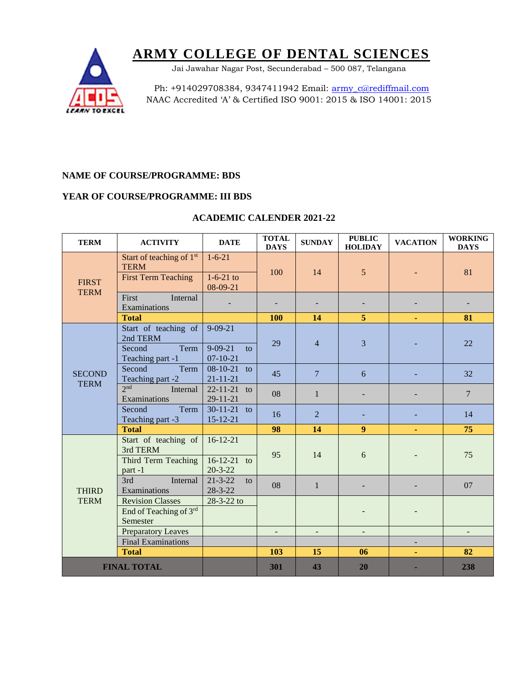Jai Jawahar Nagar Post, Secunderabad – 500 087, Telangana



Ph: +914029708384, 9347411942 Email: [army\\_c@rediffmail.com](mailto:army_c@rediffmail.com) NAAC Accredited 'A' & Certified ISO 9001: 2015 & ISO 14001: 2015

## **NAME OF COURSE/PROGRAMME: BDS**

### **YEAR OF COURSE/PROGRAMME: III BDS**

| <b>TERM</b>                  | <b>ACTIVITY</b>                                                                   | <b>DATE</b>                                  | <b>TOTAL</b><br><b>DAYS</b> | <b>SUNDAY</b>     | <b>PUBLIC</b><br><b>HOLIDAY</b> | <b>VACATION</b> | <b>WORKING</b><br><b>DAYS</b> |
|------------------------------|-----------------------------------------------------------------------------------|----------------------------------------------|-----------------------------|-------------------|---------------------------------|-----------------|-------------------------------|
| <b>FIRST</b><br><b>TERM</b>  | Start of teaching of 1 <sup>st</sup><br><b>TERM</b><br><b>First Term Teaching</b> | $1 - 6 - 21$<br>$1-6-21$ to<br>08-09-21      | 100                         | 14                | 5                               |                 | 81                            |
|                              | First<br>Internal<br>Examinations                                                 |                                              |                             |                   |                                 |                 |                               |
|                              | <b>Total</b>                                                                      |                                              | 100                         | 14                | 5                               |                 | 81                            |
|                              | Start of teaching of<br>2nd TERM<br>Second<br>Term                                | $9 - 09 - 21$<br>$9 - 09 - 21$<br>to         | 29                          | $\overline{4}$    | 3                               |                 | 22                            |
|                              | Teaching part -1                                                                  | $07 - 10 - 21$                               |                             |                   |                                 |                 |                               |
| <b>SECOND</b><br><b>TERM</b> | Second<br>Term<br>Teaching part -2                                                | $08-10-21$ to<br>$21 - 11 - 21$              | 45                          | $\overline{7}$    | 6                               |                 | 32                            |
|                              | 2 <sub>nd</sub><br>Internal<br>Examinations                                       | $22 - 11 - 21$<br>to<br>$29 - 11 - 21$       | 08                          | $\mathbf{1}$      |                                 |                 | $\overline{7}$                |
|                              | Term<br>Second<br>Teaching part -3                                                | $30-11-21$ to<br>$15 - 12 - 21$              | 16                          | $\overline{2}$    |                                 |                 | 14                            |
|                              | <b>Total</b>                                                                      |                                              | 98                          | 14                | 9                               |                 | 75                            |
| <b>THIRD</b><br><b>TERM</b>  | Start of teaching of<br>3rd TERM<br>Third Term Teaching<br>part-1                 | $16-12-21$<br>$16-12-21$ to<br>$20 - 3 - 22$ | 95                          | 14                | 6                               |                 | 75                            |
|                              | 3rd<br>Internal<br>Examinations                                                   | $21 - 3 - 22$<br>to<br>$28 - 3 - 22$         | 08                          | $\mathbf{1}$      |                                 |                 | 07                            |
|                              | <b>Revision Classes</b><br>End of Teaching of 3rd<br>Semester                     | 28-3-22 to                                   |                             |                   |                                 |                 |                               |
|                              | <b>Preparatory Leaves</b>                                                         |                                              | $\qquad \qquad -$           | $\qquad \qquad -$ | $\qquad \qquad \blacksquare$    |                 | ۰                             |
|                              | <b>Final Examinations</b>                                                         |                                              |                             |                   |                                 |                 |                               |
|                              | <b>Total</b>                                                                      |                                              | 103                         | 15                | 06                              |                 | 82                            |
| <b>FINAL TOTAL</b>           |                                                                                   |                                              | 301                         | 43                | 20                              |                 | 238                           |